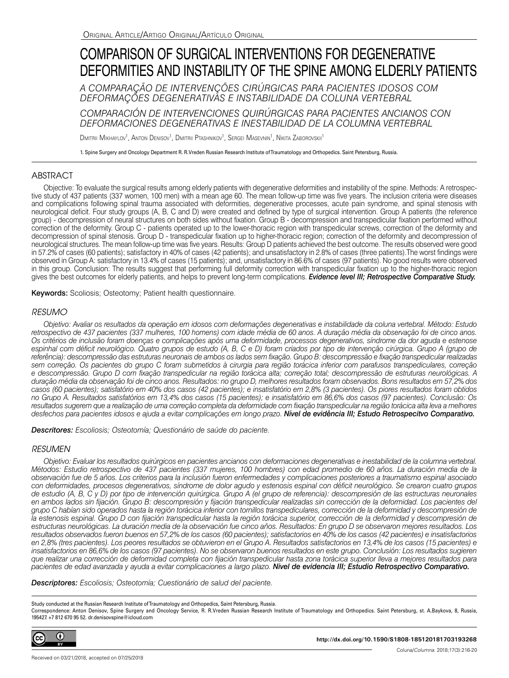# COMPARISON OF SURGICAL INTERVENTIONS FOR DEGENERATIVE DEFORMITIES AND INSTABILITY OF THE SPINE AMONG ELDERLY PATIENTS

*A COMPARAÇÃO DE INTERVENÇÕES CIRÚRGICAS PARA PACIENTES IDOSOS COM DEFORMAÇÕES DEGENERATIVAS E INSTABILIDADE DA COLUNA VERTEBRAL* 

*COMPARACIÓN DE INTERVENCIONES QUIRÚRGICAS PARA PACIENTES ANCIANOS CON DEFORMACIONES DEGENERATIVAS E INESTABILIDAD DE LA COLUMNA VERTEBRAL*

Dmitrii Mikhaylov<sup>1</sup>, Anton Denisov<sup>1</sup>, Dmitrii Ptashnikov<sup>1</sup>, Sergei Masevnin<sup>1</sup>, Nikita Zaborovskii<sup>1</sup>

1. Spine Surgery and Oncology Department R. R.Vreden Russian Research Institute of Traumatology and Orthopedics. Saint Petersburg, Russia.

## ABSTRACT

Objective: To evaluate the surgical results among elderly patients with degenerative deformities and instability of the spine. Methods: A retrospective study of 437 patients (337 women, 100 men) with a mean age 60. The mean follow-up time was five years. The inclusion criteria were diseases and complications following spinal trauma associated with deformities, degenerative processes, acute pain syndrome, and spinal stenosis with neurological deficit. Four study groups (A, B, C and D) were created and defined by type of surgical intervention. Group A patients (the reference group) - decompression of neural structures on both sides without fixation. Group B - decompression and transpedicular fixation performed without correction of the deformity. Group C - patients operated up to the lower-thoracic region with transpedicular screws, correction of the deformity and decompression of spinal stenosis. Group D - transpedicular fixation up to higher-thoracic region; correction of the deformity and decompression of neurological structures. The mean follow-up time was five years. Results: Group D patients achieved the best outcome. The results observed were good in 57.2% of cases (60 patients); satisfactory in 40% of cases (42 patients); and unsatisfactory in 2.8% of cases (three patients).The worst findings were observed in Group A: satisfactory in 13.4% of cases (15 patients); and, unsatisfactory in 86.6% of cases (97 patients). No good results were observed in this group. Conclusion: The results suggest that performing full deformity correction with transpedicular fixation up to the higher-thoracic region gives the best outcomes for elderly patients, and helps to prevent long-term complications. *Evidence level III; Retrospective Comparative Study.*

Keywords: Scoliosis; Osteotomy; Patient health questionnaire.

## *RESUMO*

*Objetivo: Avaliar os resultados da operação em idosos com deformações degenerativas e instabilidade da coluna vertebral. Método: Estudo retrospectivo de 437 pacientes (337 mulheres, 100 homens) com idade média de 60 anos. A duração média da observação foi de cinco anos. Os critérios de inclusão foram doenças e complicações após uma deformidade, processos degenerativos, síndrome da dor aguda e estenose*  espinhal com déficit neurológico. Quatro grupos de estudo (A, B, C e D) foram criados por tipo de intervenção cirúrgica. Grupo A (grupo de *referência): descompressão das estruturas neuronais de ambos os lados sem fixação. Grupo B: descompressão e fixação transpedicular realizadas sem correção. Os pacientes do grupo C foram submetidos à cirurgia para região torácica inferior com parafusos transpediculares, correção e descompressão. Grupo D com fixação transpedicular na região torácica alta; correção total; descompressão de estruturas neurológicas. A duração média da observação foi de cinco anos. Resultados: no grupo D, melhores resultados foram observados. Bons resultados em 57,2% dos casos (60 pacientes); satisfatório em 40% dos casos (42 pacientes); e insatisfatório em 2,8% (3 pacientes). Os piores resultados foram obtidos no Grupo A. Resultados satisfatórios em 13,4% dos casos (15 pacientes); e insatisfatório em 86,6% dos casos (97 pacientes). Conclusão: Os resultados sugerem que a realização de uma correção completa da deformidade com fixação transpedicular na região torácica alta leva a melhores desfechos para pacientes idosos e ajuda a evitar complicações em longo prazo. Nível de evidência III; Estudo Retrospecitvo Comparativo.*

*Descritores: Escoliosis; Osteotomía; Questionário de saúde do paciente.*

## *RESUMEN*

*Objetivo: Evaluar los resultados quirúrgicos en pacientes ancianos con deformaciones degenerativas e inestabilidad de la columna vertebral. Métodos: Estudio retrospectivo de 437 pacientes (337 mujeres, 100 hombres) con edad promedio de 60 años. La duración media de la observación fue de 5 años. Los criterios para la inclusión fueron enfermedades y complicaciones posteriores a traumatismo espinal asociado con deformidades, procesos degenerativos, síndrome de dolor agudo y estenosis espinal con déficit neurológico. Se crearon cuatro grupos de estudio (A, B, C y D) por tipo de intervención quirúrgica. Grupo A (el grupo de referencia): descompresión de las estructuras neuronales*  en ambos lados sin fijación. Grupo B: descompresión y fijación transpedicular realizadas sin corrección de la deformidad. Los pacientes del *grupo C habían sido operados hasta la región torácica inferior con tornillos transpediculares, corrección de la deformidad y descompresión de la estenosis espinal. Grupo D con fijación transpedicular hasta la región torácica superior, corrección de la deformidad y descompresión de estructuras neurológicas. La duración media de la observación fue cinco años. Resultados: En grupo D se observaron mejores resultados. Los resultados observados fueron buenos en 57,2% de los casos (60 pacientes); satisfactorios en 40% de los casos (42 pacientes) e insatisfactorios en 2,8% (tres pacientes). Los peores resultados se obtuvieron en el Grupo A. Resultados satisfactorios en 13,4% de los casos (15 pacientes) e insatisfactorios en 86,6% de los casos (97 pacientes). No se observaron buenos resultados en este grupo. Conclusión: Los resultados sugieren que realizar una corrección de deformidad completa con fijación transpedicular hasta zona torácica superior lleva a mejores resultados para pacientes de edad avanzada y ayuda a evitar complicaciones a largo plazo. Nivel de evidencia III; Estudio Retrospectivo Comparativo.*

*Descriptores: Escoliosis; Osteotomía; Cuestionário de salud del paciente.*

Study conducted at the Russian Research Institute of Traumatology and Orthopedics, Saint Petersburg, Russia.

Correspondence: Anton Denisov, Spine Surgery and Oncology Service, R. R.Vreden Russian Research Institute of Traumatology and Orthopedics. Saint Petersburg, st. A.Baykova, 8, Russia, 195427. +7 812 670 95 52. dr.denisovspine@icloud.com

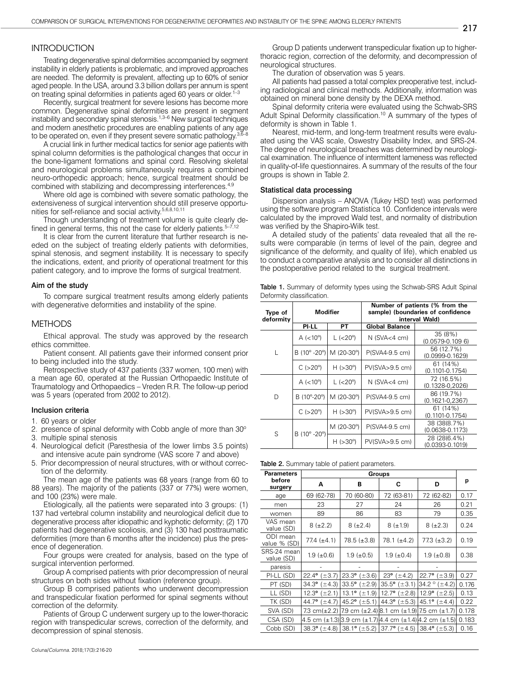## **INTRODUCTION**

Treating degenerative spinal deformities accompanied by segment instability in elderly patients is problematic, and improved approaches are needed. The deformity is prevalent, affecting up to 60% of senior aged people. In the USA, around 3.3 billion dollars per annum is spent on treating spinal deformities in patients aged 60 years or older.<sup>1-3</sup>

Recently, surgical treatment for severe lesions has become more common. Degenerative spinal deformities are present in segment instability and secondary spinal stenosis.<sup>1,3–6</sup> New surgical techniques and modern anesthetic procedures are enabling patients of any age to be operated on, even if they present severe somatic pathology. $3,6$ 

A crucial link in further medical tactics for senior age patients with spinal column deformities is the pathological changes that occur in the bone-ligament formations and spinal cord. Resolving skeletal and neurological problems simultaneously requires a combined neuro-orthopedic approach; hence, surgical treatment should be combined with stabilizing and decompressing interferences.<sup>4,9</sup>

Where old age is combined with severe somatic pathology, the extensiveness of surgical intervention should still preserve opportunities for self-reliance and social activity.5,6,8,10,11

Though understanding of treatment volume is quite clearly defined in general terms, this not the case for elderly patients. $5-7,12$ 

It is clear from the current literature that further research is needed on the subject of treating elderly patients with deformities, spinal stenosis, and segment instability. It is necessary to specify the indications, extent, and priority of operational treatment for this patient category, and to improve the forms of surgical treatment.

#### Aim of the study

To compare surgical treatment results among elderly patients with degenerative deformities and instability of the spine.

#### METHODS

Ethical approval. The study was approved by the research ethics committee.

Patient consent. All patients gave their informed consent prior to being included into the study.

Retrospective study of 437 patients (337 women, 100 men) with a mean age 60, operated at the Russian Orthopaedic Institute of Traumatology and Orthopaedics – Vreden R.R. The follow-up period was 5 years (operated from 2002 to 2012).

#### Inclusion criteria

- 1. 60 years or older
- 2. presence of spinal deformity with Cobb angle of more than 30°
- 3. multiple spinal stenosis
- 4. Neurological deficit (Paresthesia of the lower limbs 3.5 points) and intensive acute pain syndrome (VAS score 7 and above)
- 5. Prior decompression of neural structures, with or without correction of the deformity.

The mean age of the patients was 68 years (range from 60 to 88 years). The majority of the patients (337 or 77%) were women, and 100 (23%) were male.

Etiologically, all the patients were separated into 3 groups: (1) 137 had vertebral column instability and neurological deficit due to degenerative process after idiopathic and kyphotic deformity; (2) 170 patients had degenerative scoliosis, and (3) 130 had posttraumatic deformities (more than 6 months after the incidence) plus the presence of degeneration.

Four groups were created for analysis, based on the type of surgical intervention performed.

Group A comprised patients with prior decompression of neural structures on both sides without fixation (reference group).

Group B comprised patients who underwent decompression and transpedicular fixation performed for spinal segments without correction of the deformity.

Patients of Group C underwent surgery up to the lower-thoracic region with transpedicular screws, correction of the deformity, and decompression of spinal stenosis.

Group D patients underwent transpedicular fixation up to higherthoracic region, correction of the deformity, and decompression of neurological structures.

The duration of observation was 5 years.

All patients had passed a total complex preoperative test, including radiological and clinical methods. Additionally, information was obtained on mineral bone density by the DEXA method.

Spinal deformity criteria were evaluated using the Schwab-SRS Adult Spinal Deformity classification.<sup>10</sup> A summary of the types of deformity is shown in Table 1.

Nearest, mid-term, and long-term treatment results were evaluated using the VAS scale, Oswestry Disability Index, and SRS-24. The degree of neurological breaches was determined by neurological examination. The influence of intermittent lameness was reflected in quality-of-life questionnaires. A summary of the results of the four groups is shown in Table 2.

#### Statistical data processing

Dispersion analysis – ANOVA (Tukey HSD test) was performed using the software program Statistica 10. Confidence intervals were calculated by the improved Wald test, and normality of distribution was verified by the Shapiro-Wilk test.

A detailed study of the patients' data revealed that all the results were comparable (in terms of level of the pain, degree and significance of the deformity, and quality of life), which enabled us to conduct a comparative analysis and to consider all distinctions in the postoperative period related to the surgical treatment.

|                           |  |  | <b>Table 1.</b> Summary of deformity types using the Schwab-SRS Adult Spinal |  |
|---------------------------|--|--|------------------------------------------------------------------------------|--|
| Deformity classification. |  |  |                                                                              |  |

| Type of<br>deformity | <b>Modifier</b>       |                    | Number of patients (% from the<br>sample) (boundaries of confidence<br>interval Wald)                  |                                     |  |  |
|----------------------|-----------------------|--------------------|--------------------------------------------------------------------------------------------------------|-------------------------------------|--|--|
|                      | PI-LL                 | РT                 | <b>Global Balance</b>                                                                                  |                                     |  |  |
|                      | A $(< 10^{\circ}$ )   | $L (< 20^{\circ})$ | $N$ (SVA $<$ 4 cm)                                                                                     | 35(8%)<br>$(0.0579 - 0.1096)$       |  |  |
| L                    | B (10° -20°)          | M (20-30°)         | P(SVA4-9.5 cm)                                                                                         | 56 (12.7%)<br>$(0.0999 - 0.1629)$   |  |  |
|                      | $C$ ( $>20^{\circ}$ ) | $H (>30^{\circ})$  | 61 (14%)<br>PV(SVA > 9.5 cm)<br>(0.1101-0.1754)<br>72 (16.5%)<br>$N$ (SVA<4 cm)<br>$(0.1328 - 0.2026)$ |                                     |  |  |
|                      | $A$ (<10 $^{\circ}$ ) | $L (< 20^{\circ})$ |                                                                                                        |                                     |  |  |
| D                    | B (10°-20°)           | M (20-30°)         | P(SVA4-9.5 cm)                                                                                         | 86 (19.7%)<br>$(0.1621 - 0.2367)$   |  |  |
|                      | $C$ ( $>20^{\circ}$ ) | H (>30°)           | PV(SVA > 9.5 cm)                                                                                       | $61(14\%)$<br>(0.1101-0.1754)       |  |  |
| S                    | B (10° -20°)          | M (20-30°)         | P(SVA4-9.5 cm)                                                                                         | 38 (38(8.7%)<br>$(0.0638 - 0.1173)$ |  |  |
|                      |                       | H (>30°)           | PV(SVA>9.5 cm)                                                                                         | 28 (28(6.4%)<br>$(0.0393 - 0.1019)$ |  |  |

Table 2. Summary table of patient parameters.

| <b>Parameters</b>         | Groups            |                                                                                |                           |                                                         |       |  |  |  |
|---------------------------|-------------------|--------------------------------------------------------------------------------|---------------------------|---------------------------------------------------------|-------|--|--|--|
| before<br>surgery         | Α                 | В                                                                              | C                         | D                                                       | р     |  |  |  |
| age                       | 69 (62-78)        | 70 (60-80)                                                                     | 72 (63-81)                | 72 (62-82)                                              | 0.17  |  |  |  |
| men                       | 23                | 27                                                                             | 24                        | 26                                                      | 0.21  |  |  |  |
| women                     | 89                | 86                                                                             | 83                        | 79                                                      | 0.35  |  |  |  |
| VAS mean<br>value (SD)    | $8 (+2.2)$        | $8 (+2.4)$                                                                     | $8 (+1.9)$                | $8 (+2.3)$                                              | 0.24  |  |  |  |
| ODI mean<br>value % (SD)  | 77.4 $(\pm 4.1)$  | $78.5 (\pm 3.8)$                                                               | 78.1 (±4.2)               | $77.3 (+3.2)$                                           | 0.19  |  |  |  |
| SRS-24 mean<br>value (SD) | $1.9 \ (\pm 0.6)$ | $1.9 \ (\pm 0.5)$                                                              | $1.9 \ (\pm 0.4)$         | $1.9 \ (\pm 0.8)$                                       | 0.38  |  |  |  |
| paresis                   |                   |                                                                                |                           |                                                         |       |  |  |  |
| PI-LL (SD)                | 22.4° $(\pm 3.7)$ | $23.3^{\circ}$ ( $\pm 3.6$ )                                                   | $23^{\circ}$ ( $\pm$ 4.2) | $22.7^{\circ}$ ( $\pm 3.9$ )                            | 0.27  |  |  |  |
| PT (SD)                   | 34.3° $(\pm 4.3)$ | 33.5 $^{\circ}$ ( $\pm$ 2.9)                                                   |                           | 35.5° ( $\pm$ 3.1) 34.2° ( $\pm$ 4.2)                   | 0.176 |  |  |  |
| LL (SD)                   | 12.3° $(\pm 2.1)$ | 13.1° $(\pm 1.9)$                                                              |                           | 12.7° $(\pm 2.8)$   12.9° $(\pm 2.5)$                   | 0.13  |  |  |  |
| TK (SD)                   | 44.7° $(\pm 4.7)$ | 45.2 $^{\circ}$ ( $\pm$ 5.1)                                                   | 44.3° $(\pm 5.3)$         | 45.1° $(\pm 4.4)$                                       | 0.22  |  |  |  |
| SVA (SD)                  |                   | 7.3 cm( $\pm$ 2.2) 7.9 cm ( $\pm$ 2.4) 8.1 cm ( $\pm$ 1.9) 7.5 cm ( $\pm$ 1.7) |                           |                                                         | 0.178 |  |  |  |
| CSA (SD)                  |                   |                                                                                |                           | 4.5 cm (±1.3) 3.9 cm (±1.7) 4.4 cm (±1.4) 4.2 cm (±1.5) | 0.183 |  |  |  |
| Cobb (SD)                 |                   | 38.3° ( $\pm$ 4.8) 38.1° ( $\pm$ 5.2) 37.7° ( $\pm$ 4.5) 38.4° ( $\pm$ 5.3)    |                           |                                                         | 0.16  |  |  |  |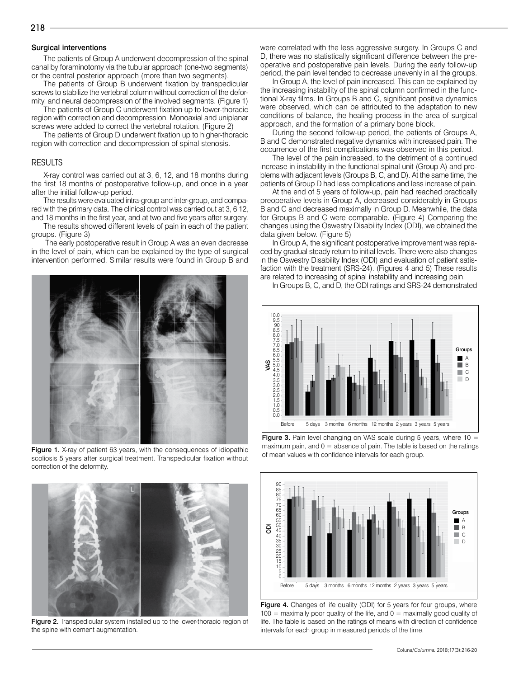## Surgical interventions

The patients of Group A underwent decompression of the spinal canal by foraminotomy via the tubular approach (one-two segments) or the central posterior approach (more than two segments).

The patients of Group B underwent fixation by transpedicular screws to stabilize the vertebral column without correction of the deformity, and neural decompression of the involved segments. (Figure 1)

The patients of Group C underwent fixation up to lower-thoracic region with correction and decompression. Monoaxial and uniplanar screws were added to correct the vertebral rotation. (Figure 2)

The patients of Group D underwent fixation up to higher-thoracic region with correction and decompression of spinal stenosis.

## RESULTS

X-ray control was carried out at 3, 6, 12, and 18 months during the first 18 months of postoperative follow-up, and once in a year after the initial follow-up period.

The results were evaluated intra-group and inter-group, and compared with the primary data. The clinical control was carried out at 3, 6 12, and 18 months in the first year, and at two and five years after surgery.

The results showed different levels of pain in each of the patient groups. (Figure 3)

 The early postoperative result in Group A was an even decrease in the level of pain, which can be explained by the type of surgical intervention performed. Similar results were found in Group B and





D, there was no statistically significant difference between the preoperative and postoperative pain levels. During the early follow-up period, the pain level tended to decrease unevenly in all the groups.

In Group A, the level of pain increased. This can be explained by the increasing instability of the spinal column confirmed in the functional X-ray films. In Groups B and C, significant positive dynamics were observed, which can be attributed to the adaptation to new conditions of balance, the healing process in the area of surgical approach, and the formation of a primary bone block.

were correlated with the less aggressive surgery. In Groups C and

During the second follow-up period, the patients of Groups A, B and C demonstrated negative dynamics with increased pain. The occurrence of the first complications was observed in this period.

The level of the pain increased, to the detriment of a continued increase in instability in the functional spinal unit (Group A) and problems with adjacent levels (Groups B, C, and D). At the same time, the patients of Group D had less complications and less increase of pain.

At the end of 5 years of follow-up, pain had reached practically preoperative levels in Group A, decreased considerably in Groups B and C and decreased maximally in Group D. Meanwhile, the data for Groups B and C were comparable. (Figure 4) Comparing the changes using the Oswestry Disability Index (ODI), we obtained the data given below. (Figure 5)

In Group A, the significant postoperative improvement was replaced by gradual steady return to initial levels. There were also changes in the Oswestry Disability Index (ODI) and evaluation of patient satisfaction with the treatment (SRS-24). (Figures 4 and 5) These results are related to increasing of spinal instability and increasing pain. In Groups B, C, and D, the ODI ratings and SRS-24 demonstrated



**Figure 3.** Pain level changing on VAS scale during 5 years, where  $10 =$ maximum pain, and  $0 =$  absence of pain. The table is based on the ratings

of mean values with confidence intervals for each group.





Figure 2. Transpedicular system installed up to the lower-thoracic region of the spine with cement augmentation.

## 218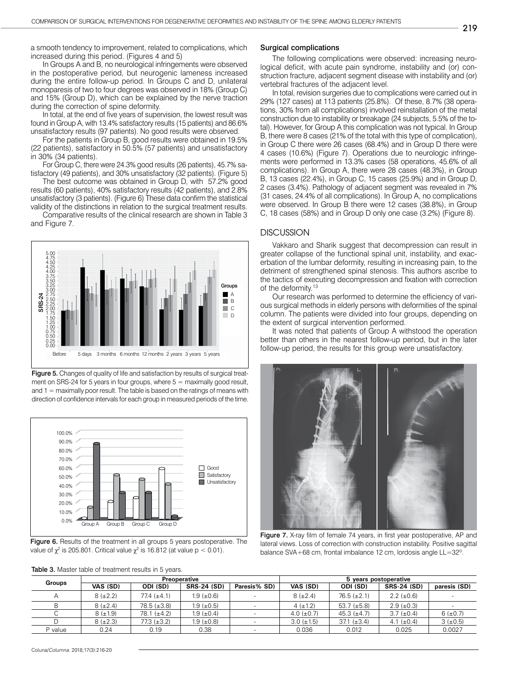a smooth tendency to improvement, related to complications, which increased during this period. (Figures 4 and 5)

In Groups A and B, no neurological infringements were observed in the postoperative period, but neurogenic lameness increased during the entire follow-up period. In Groups C and D, unilateral monoparesis of two to four degrees was observed in 18% (Group C) and 15% (Group D), which can be explained by the nerve traction during the correction of spine deformity.

In total, at the end of five years of supervision, the lowest result was found in Group A, with 13.4% satisfactory results (15 patients) and 86.6% unsatisfactory results (97 patients). No good results were observed.

For the patients in Group B, good results were obtained in 19.5% (22 patients), satisfactory in 50.5% (57 patients) and unsatisfactory in 30% (34 patients).

For Group C, there were 24.3% good results (26 patients), 45.7% satisfactory (49 patients), and 30% unsatisfactory (32 patients). (Figure 5)

The best outcome was obtained in Group D, with 57.2% good results (60 patients), 40% satisfactory results (42 patients), and 2.8% unsatisfactory (3 patients). (Figure 6) These data confirm the statistical validity of the distinctions in relation to the surgical treatment results.

Comparative results of the clinical research are shown in Table 3 and Figure 7.



Figure 5. Changes of quality of life and satisfaction by results of surgical treatment on SRS-24 for 5 years in four groups, where  $5 =$  maximally good result, and 1 = maximally poor result. The table is based on the ratings of means with direction of confidence intervals for each group in measured periods of the time.



Figure 6. Results of the treatment in all groups 5 years postoperative. The value of  $\chi^2$  is 205.801. Critical value  $\chi^2$  is 16.812 (at value p < 0.01).

#### Surgical complications

The following complications were observed: increasing neurological deficit, with acute pain syndrome, instability and (or) construction fracture, adjacent segment disease with instability and (or) vertebral fractures of the adjacent level.

In total, revision surgeries due to complications were carried out in 29% (127 cases) at 113 patients (25.8%). Of these, 8.7% (38 operations, 30% from all complications) involved reinstallation of the metal construction due to instability or breakage (24 subjects, 5.5% of the total). However, for Group A this complication was not typical. In Group B, there were 8 cases (21% of the total with this type of complication), in Group C there were 26 cases (68.4%) and in Group D there were 4 cases (10.6%) (Figure 7). Operations due to neurologic infringements were performed in 13.3% cases (58 operations, 45.6% of all complications). In Group A, there were 28 cases (48.3%), in Group B, 13 cases (22.4%), in Group C, 15 cases (25.9%) and in Group D, 2 cases (3.4%). Pathology of adjacent segment was revealed in 7% (31 cases, 24.4% of all complications). In Group A, no complications were observed. In Group B there were 12 cases (38.8%), in Group C, 18 cases (58%) and in Group D only one case (3.2%) (Figure 8).

## **DISCUSSION**

Vakkaro and Sharik suggest that decompression can result in greater collapse of the functional spinal unit, instability, and exacerbation of the lumbar deformity, resulting in increasing pain, to the detriment of strengthened spinal stenosis. This authors ascribe to the tactics of executing decompression and fixation with correction of the deformity.<sup>13</sup>

Our research was performed to determine the efficiency of various surgical methods in elderly persons with deformities of the spinal column. The patients were divided into four groups, depending on the extent of surgical intervention performed.

It was noted that patients of Group A withstood the operation better than others in the nearest follow-up period, but in the later follow-up period, the results for this group were unsatisfactory.



Figure 7. X-ray film of female 74 years, in first year postoperative, AP and lateral views. Loss of correction with construction instability. Positive sagittal balance SVA+68 cm, frontal imbalance 12 cm, lordosis angle LL=32º.

| <b>Groups</b> |            |                  | Preoperative       |              | 5 years postoperative |                  |                    |              |  |
|---------------|------------|------------------|--------------------|--------------|-----------------------|------------------|--------------------|--------------|--|
|               | VAS (SD)   | ODI (SD)         | <b>SRS-24 (SD)</b> | Paresis% SD) | VAS (SD)              | ODI (SD)         | <b>SRS-24 (SD)</b> | paresis (SD) |  |
|               | $8 (+2.2)$ | $77.4~(\pm 4.1)$ | $1.9 \ (\pm 0.6)$  |              | $8 (+2.4)$            | $76.5 (\pm 2.1)$ | $2.2 \ (\pm 0.6)$  |              |  |
|               | $8 (+2.4)$ | $78.5 (\pm 3.8)$ | $1.9 \ (\pm 0.5)$  |              | $4 (+1.2)$            | 53.7 $(\pm 5.8)$ | $2.9 \ (\pm 0.3)$  |              |  |
|               | $8 (+1.9)$ | $78.1 (\pm 4.2)$ | $1.9 \ (\pm 0.4)$  |              | 4.0 $(\pm 0.7)$       | 45.3 $(\pm 4.7)$ | $3.7 \ (\pm 0.4)$  | $6 (+0.7)$   |  |
|               | $8 (+2.3)$ | $77.3 (+3.2)$    | $1.9 \ (\pm 0.8)$  |              | $3.0 \ (\pm 1.5)$     | 37.1 $(\pm 3.4)$ | 4.1 $(\pm 0.4)$    | $3 (+0.5)$   |  |
| P value       | 0.24       | 0.19             | 0.38               |              | 0.036                 | 0.012            | 0.025              | 0.0027       |  |

Table 3. Master table of treatment results in 5 years.